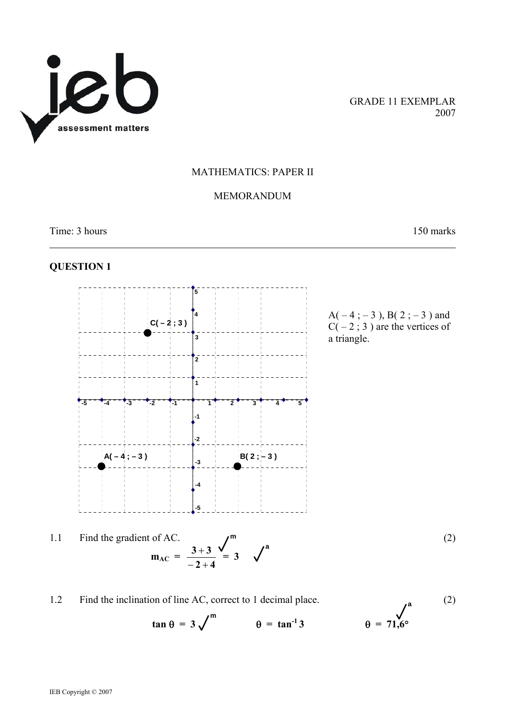

GRADE 11 EXEMPLAR 2007

#### MATHEMATICS: PAPER II

## MEMORANDUM

Time: 3 hours 150 marks

l

# **QUESTION 1**



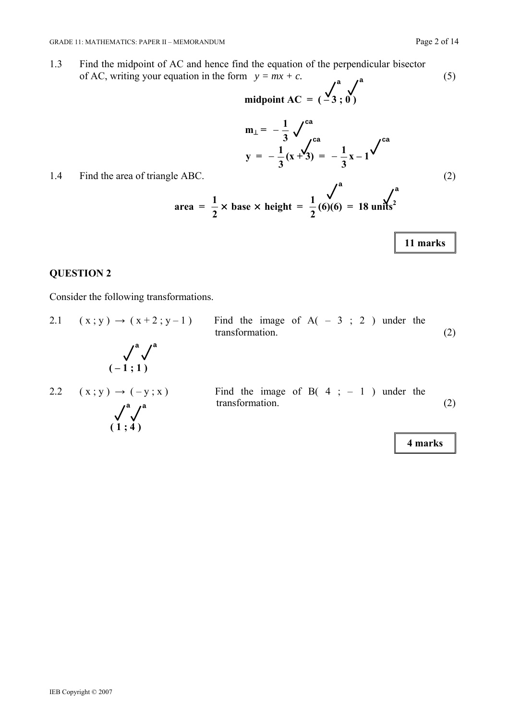midpoint AC = 
$$
(\frac{1}{3}, 0)
$$

$$
m_{\perp} = -\frac{1}{3} \sqrt{\frac{ca}{ca}}
$$
  
y = -\frac{1}{3}(x+3) = -\frac{1}{3}x-1<sup>2</sup>

1.4 Find the area of triangle ABC. (2)

area = 
$$
\frac{1}{2}
$$
 × base × height =  $\frac{1}{2}$ (6)(6) = 18 units<sup>2</sup>

**11 marks** 

# **QUESTION 2**

Consider the following transformations.

2.1 ( x ; y ) → ( x + 2 ; y – 1 ) Find the image of A( – 3 ; 2 ) under the transformation. (2) **a a ( – 1 ; 1 )**  2.2 ( x ; y ) → ( – y ; x ) Find the image of B( 4 ; – 1 ) under the transformation. (2) **a a ( 1 ; 4 ) 4 marks**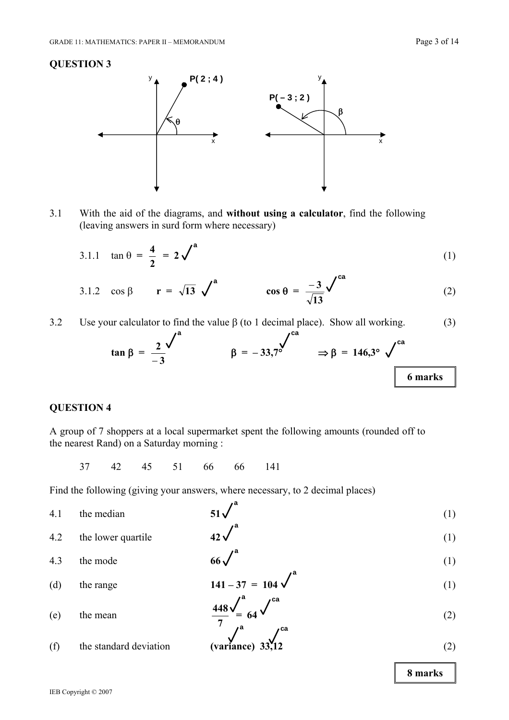

3.1 With the aid of the diagrams, and **without using a calculator**, find the following (leaving answers in surd form where necessary)

3.1.1 
$$
\tan \theta = \frac{4}{2} = 2\sqrt{ }
$$
 (1)

$$
3.1.2 \quad \cos \beta \qquad \mathbf{r} = \sqrt{13} \quad \sqrt{\phantom{13}}^{\mathbf{a}} \qquad \qquad \cos \theta = \frac{-3}{\sqrt{13}} \sqrt{\phantom{13}}^{\mathbf{ca}} \tag{2}
$$

3.2 Use your calculator to find the value  $\beta$  (to 1 decimal place). Show all working. (3)

$$
\tan \beta = \frac{2}{-3} \int^{a} \beta = -33.7^{\circ} \qquad \Rightarrow \beta = 146.3^{\circ} \sqrt{\frac{ca}{6 \text{ marks}}}
$$

# **QUESTION 4**

A group of 7 shoppers at a local supermarket spent the following amounts (rounded off to the nearest Rand) on a Saturday morning :

37 42 45 51 66 66 141

Find the following (giving your answers, where necessary, to 2 decimal places)

| 4.1 | the median             | $51\sqrt{ }$                                   | (1) |
|-----|------------------------|------------------------------------------------|-----|
| 4.2 | the lower quartile     | $42\sqrt{ }$                                   | (1) |
| 4.3 | the mode               | $66\sqrt{x}$                                   | (1) |
| (d) | the range              | $141 - 37 = 104$                               | (1) |
| (e) | the mean               | $\frac{448}{7}$ $\frac{448}{1}$ $\frac{64}{1}$ | (2) |
| (f) | the standard deviation | (variance) $33\frac{1}{2}$                     | (2) |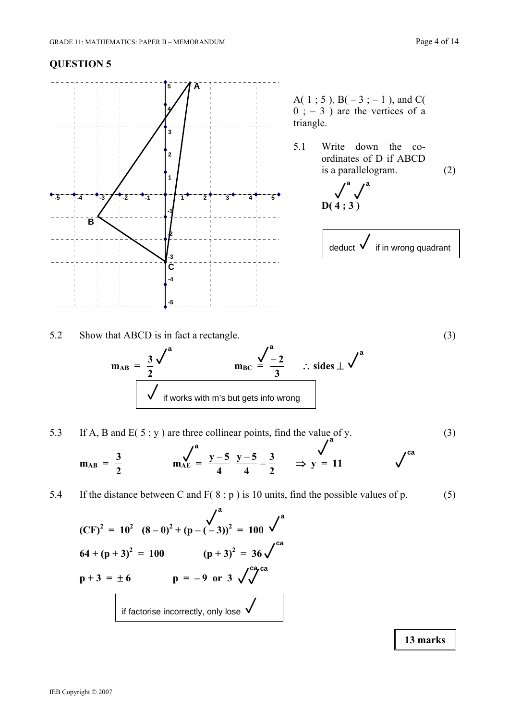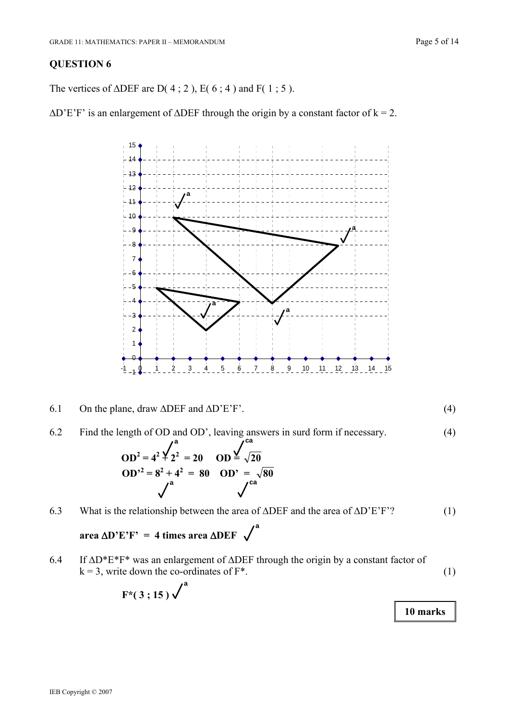The vertices of  $\triangle DEF$  are D(4;2), E(6;4) and F(1;5).

 $\Delta$ D'E'F' is an enlargement of  $\Delta$ DEF through the origin by a constant factor of k = 2.



- 6.1 On the plane, draw  $\triangle DEF$  and  $\triangle D'E'F'$ . (4)
- 6.2 Find the length of OD and OD', leaving answers in surd form if necessary. (4)

$$
OD^2 = 4^2 \frac{1}{2^2} = 20
$$
  $OD \frac{1}{2} = \sqrt{20}$   
\n $OD^2 = 8^2 + 4^2 = 80$   $OD' = \sqrt{80}$ 

6.3 What is the relationship between the area of ΔDEF and the area of ΔD'E'F'? (1)

**a**

 **area** Δ**D'E'F' = 4 times area** Δ**DEF** 

6.4 If ΔD\*E\*F\* was an enlargement of ΔDEF through the origin by a constant factor of  $k = 3$ , write down the co-ordinates of  $F^*$ . (1)

$$
F^*(3;15)\checkmark^a
$$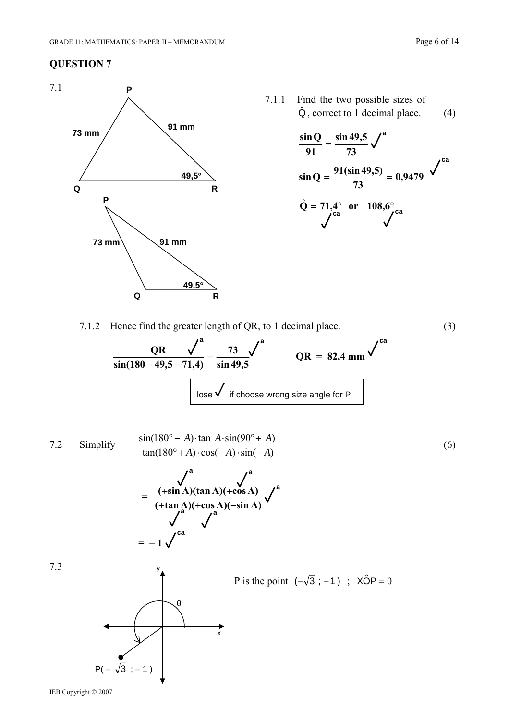

7.1.1 Find the two possible sizes of  $\hat{Q}$ , correct to 1 decimal place. (4)

$$
\frac{\sin Q}{91} = \frac{\sin 49.5}{73} \sqrt{a}
$$
  

$$
\sin Q = \frac{91(\sin 49.5)}{73} = 0.9479 \sqrt{a}
$$
  

$$
\hat{Q} = 71.4^{\circ} \text{ or } 108.6^{\circ} \text{ ca}
$$

7.1.2 Hence find the greater length of QR, to 1 decimal place. (3)



7.2 Simplify 
$$
\frac{\sin(180^\circ - A) \cdot \tan A \cdot \sin(90^\circ + A)}{\tan(180^\circ + A) \cdot \cos(-A) \cdot \sin(-A)}
$$
(6)  

$$
= \frac{\sqrt{4}}{(\sin A)(\tan A)(\cos A)} \sqrt{4}
$$
  

$$
= -1 \sqrt{4}
$$
  
7.3  
7.3  

$$
\frac{1}{\sqrt{4}} \sqrt{4}
$$
  
7.3  
P is the point  $(-\sqrt{3}; -1)$ ; XÔP =  $\theta$ 

IEB Copyright © 2007

 $P(-\sqrt{3}; -1)$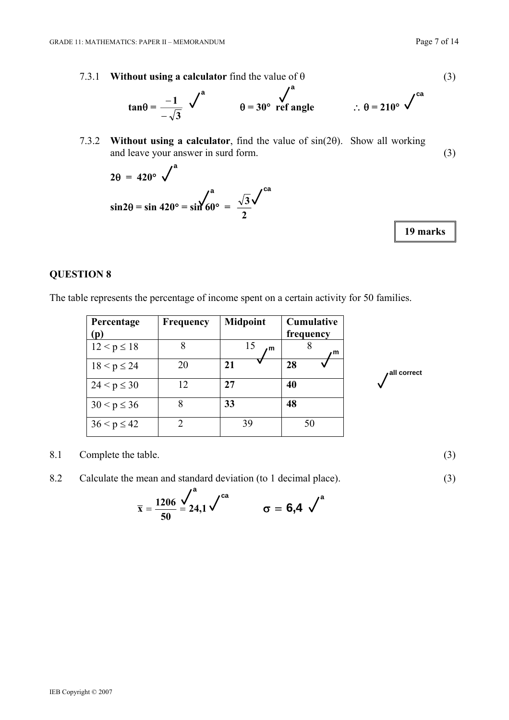$$
\tan\theta = \frac{-1}{-\sqrt{3}} \quad \sqrt{\phantom{0}}^a \qquad \qquad \theta = 30^\circ \quad \text{ref angle} \qquad \qquad \therefore \theta = 210^\circ \quad \sqrt{\phantom{0}}^{ca}
$$

7.3.2 **Without using a calculator**, find the value of sin(2θ). Show all working and leave your answer in surd form. (3)

$$
2\theta = 420^{\circ} \sqrt{\frac{a}{\sin 2\theta}} = \sin 420^{\circ} = \sin \frac{\sqrt{a}}{60^{\circ}} = \frac{\sqrt{3}}{2} \sqrt{\frac{ca}{\cos 2\theta}}
$$

**19 marks** 

**all correct** 

## **QUESTION 8**

The table represents the percentage of income spent on a certain activity for 50 families.

| Percentage<br>(p) | <b>Frequency</b> | <b>Midpoint</b> | <b>Cumulative</b><br>frequency |
|-------------------|------------------|-----------------|--------------------------------|
| $12 < p \le 18$   | 8                | 15<br>m         | m                              |
| $18 < p \le 24$   | 20               | 21              | 28                             |
| $24 < p \leq 30$  | 12               | 27              | 40                             |
| $30 < p \le 36$   | 8                | 33              | 48                             |
| $36 < p \le 42$   | $\mathfrak{D}$   | 39              | 50                             |

8.1 Complete the table. (3)

8.2 Calculate the mean and standard deviation (to 1 decimal place). (3)

$$
\bar{x} = \frac{1206}{50} \leq 24.1 \sqrt{a} \qquad \qquad \sigma = 6.4 \sqrt{a}
$$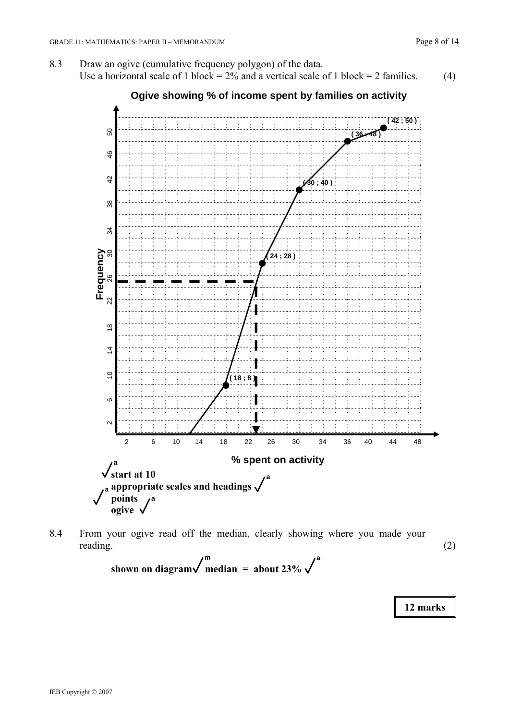

8.4 From your ogive read off the median, clearly showing where you made your reading. (2)

shown on diagram 
$$
\sqrt{\frac{m}{\text{median}}}
$$
 = about 23%  $\sqrt{\frac{a}{\text{total}}}$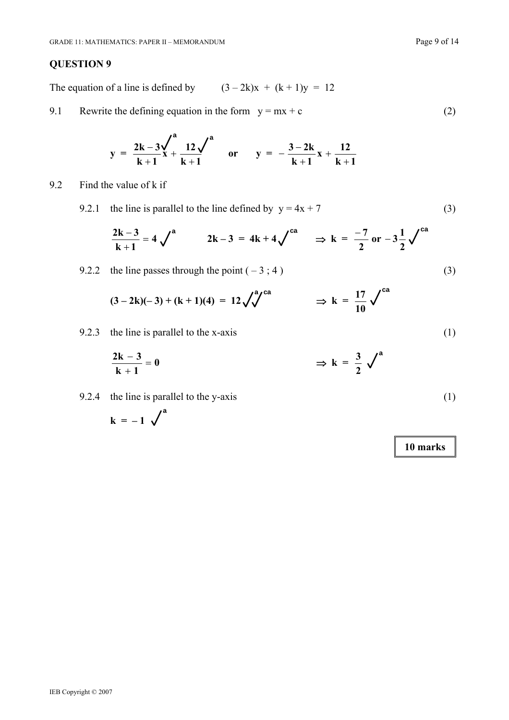The equation of a line is defined by  $(3 - 2k)x + (k + 1)y = 12$ 

9.1 Rewrite the defining equation in the form  $y = mx + c$  (2)

$$
y = \frac{2k - 3}{k + 1} \times \frac{12}{k + 1}^{a}
$$
 or  $y = -\frac{3 - 2k}{k + 1}x + \frac{12}{k + 1}$ 

9.2 Find the value of k if

9.2.1 the line is parallel to the line defined by  $y = 4x + 7$  (3)

$$
\frac{2k-3}{k+1} = 4 \checkmark^a \qquad 2k-3 = 4k+4 \checkmark^{ca} \qquad \Rightarrow k = \frac{-7}{2} \text{ or } -3\frac{1}{2} \checkmark^{ca}
$$

9.2.2 the line passes through the point 
$$
(-3; 4)
$$
 (3)

$$
(3-2k)(-3) + (k+1)(4) = 12\sqrt{4^{a}}^{ca} \Rightarrow k = \frac{17}{10}\sqrt{4^{ca}}
$$

9.2.3 the line is parallel to the x-axis (1)

$$
\frac{2k-3}{k+1} = 0 \qquad \qquad \Rightarrow k = \frac{3}{2} \sqrt{a}
$$

9.2.4 the line is parallel to the y-axis (1)

$$
k = -1 \sqrt{a}
$$

$$
(\angle
$$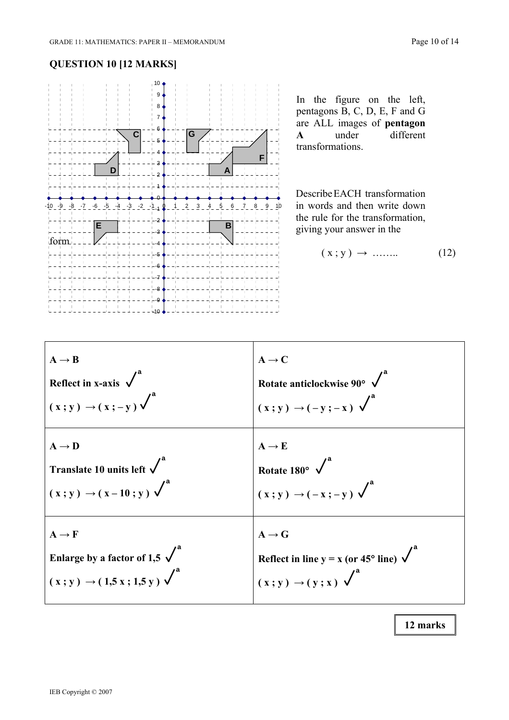# **QUESTION 10 [12 MARKS]**



In the figure on the left, pentagons B, C, D, E, F and G are ALL images of **pentagon A** under different transformations.

Describe EACH transformation in words and then write down the rule for the transformation, giving your answer in the

$$
(x; y) \rightarrow \dots \dots \tag{12}
$$

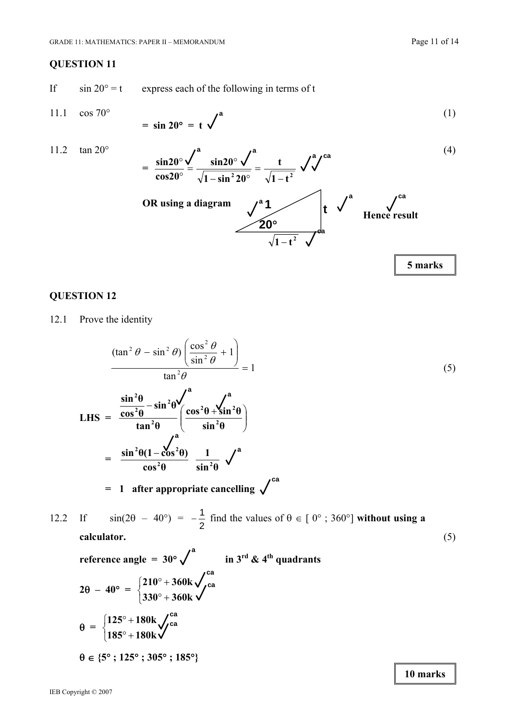**10 marks** 

## **QUESTION 11**

If  $\sin 20^\circ = t$  express each of the following in terms of t

$$
11.1 \quad \cos 70^{\circ}
$$

$$
11.1 \quad \cos 70^{\circ} \qquad = \sin 20^{\circ} = t \, \sqrt{\phantom{0}}^{\,2}
$$

11.2 
$$
\tan 20^{\circ}
$$
  
\n
$$
= \frac{\sin 20^{\circ}}{\cos 20^{\circ}} \frac{\sqrt{a^2 - \sin^2 20^{\circ}}}{\sqrt{1 - \sin^2 20^{\circ}}} = \frac{t}{\sqrt{1 - t^2}} \sqrt{a^2 - \frac{t}{\sqrt{1 - t^2}}} = \frac{\sqrt{a^2 - \sin^2 20^{\circ}}}{\sqrt{1 - t^2}} = \frac{1}{\sqrt{1 - t^2}} \sqrt{a^2 - \frac{t}{\sqrt{1 - t^2}}} = \frac{1}{\sqrt{1 - t^2}} \sqrt{a^2 - \frac{t}{\sqrt{1 - t^2}}} = \frac{1}{\sqrt{1 - t^2}} \sqrt{a^2 - \frac{t}{\sqrt{1 - t^2}}} = \frac{1}{\sqrt{1 - t^2}} \sqrt{a^2 - \frac{t}{\sqrt{1 - t^2}}} = \frac{1}{\sqrt{1 - t^2}} \sqrt{a^2 - \frac{t}{\sqrt{1 - t^2}}} = \frac{1}{\sqrt{1 - t^2}} \sqrt{a^2 - \frac{t}{\sqrt{1 - t^2}}} = \frac{1}{\sqrt{1 - t^2}} \sqrt{a^2 - \frac{t}{\sqrt{1 - t^2}}} = \frac{1}{\sqrt{1 - t^2}} \sqrt{a^2 - \frac{t}{\sqrt{1 - t^2}}} = \frac{1}{\sqrt{1 - t^2}} \sqrt{a^2 - \frac{t}{\sqrt{1 - t^2}}} = \frac{1}{\sqrt{1 - t^2}} \sqrt{a^2 - \frac{t}{\sqrt{1 - t^2}}} = \frac{1}{\sqrt{1 - t^2}} \sqrt{a^2 - \frac{t}{\sqrt{1 - t^2}}} = \frac{1}{\sqrt{1 - t^2}} \sqrt{a^2 - \frac{t}{\sqrt{1 - t^2}}} = \frac{1}{\sqrt{1 - t^2}} \sqrt{a^2 - \frac{t}{\sqrt{1 - t^2}}} = \frac{1}{\sqrt{1 - t^2}} \sqrt{a^2 - \frac{t}{\sqrt{1 - t^2}}} = \frac{1}{\sqrt{1 - t^2}} \sqrt{a^2 - \frac{t}{\sqrt{1 - t^2}}} = \frac{1}{\sqrt{1 - t^2}} \sqrt{a^2 - \frac{t}{\sqrt{1 - t^2}}} = \frac{1}{\sqrt{1 - t^2}} \sqrt{a^2 - \frac{t}{\sqrt{1 - t^2}}} = \
$$

#### **QUESTION 12**

12.1 Prove the identity

$$
\frac{(\tan^2 \theta - \sin^2 \theta) \left(\frac{\cos^2 \theta}{\sin^2 \theta} + 1\right)}{\tan^2 \theta} = 1
$$
\n
$$
LHS = \frac{\frac{\sin^2 \theta}{\cos^2 \theta} - \sin^2 \theta \left(\frac{\cos^2 \theta + \sin^2 \theta}{\sin^2 \theta}\right)}{\tan^2 \theta} = \frac{\sin^2 \theta (1 - \cos^2 \theta)}{\cos^2 \theta} \frac{1}{\sin^2 \theta} \sqrt{\frac{a}{\cos^2 \theta}} = 1 \text{ after appropriate cancelling } \sqrt{\frac{b^2}{\cos^2 \theta}} = 1 \sin(2\theta - 40^\circ) = -\frac{1}{2} \text{ find the values of } \theta \in [0^\circ; 360^\circ] \text{ without using a}
$$
\n
$$
12.2 \text{ If } \sin(2\theta - 40^\circ) = -\frac{1}{2} \text{ find the values of } \theta \in [0^\circ; 360^\circ] \text{ without using a}
$$

**calculator.** (5)

**reference angle =**  $30^{\circ} \checkmark$  **in**  $3^{\text{rd}}$  **& 4<sup>th</sup> quadrants 2**θ **– 40**° **=**   $\overline{a}$ ⎨  $\sqrt{2}$  $\circ$  +  $\circ$  + **330 360k**  $210^{\circ} + 360k$ θ **=**   $\overline{a}$ ⎨  $\sqrt{2}$  $\circ$  +  $\circ$  + **185 180k**  $125^\circ + 180k$ ,  $\int_{c}^{ca}$ θ ∈ **{5**° **; 125**° **; 305**° **; 185**°**} a ca ca ca**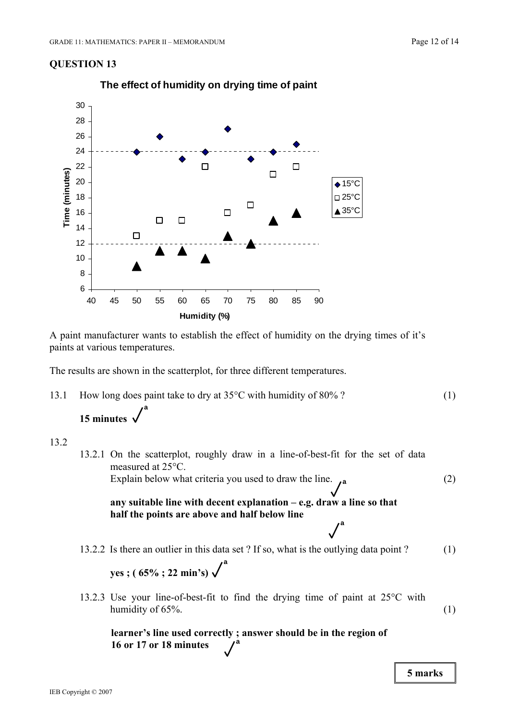

**The effect of humidity on drying time of paint**

A paint manufacturer wants to establish the effect of humidity on the drying times of it's paints at various temperatures.

The results are shown in the scatterplot, for three different temperatures.

13.1 How long does paint take to dry at 35<sup>o</sup>C with humidity of 80% ? (1) **15 minutes a** 

#### 13.2

13.2.1 On the scatterplot, roughly draw in a line-of-best-fit for the set of data measured at 25°C. Explain below what criteria you used to draw the line.  $\mathbf{a}$  (2) **any suitable line with decent explanation – e.g. draw a line so that half the points are above and half below line**  13.2.2 Is there an outlier in this data set ? If so, what is the outlying data point ? (1) **yes ; ( 65% ; 22 min's)**  13.2.3 Use your line-of-best-fit to find the drying time of paint at 25°C with humidity of  $65\%$ .  $(1)$ **a a a**

> **learner's line used correctly ; answer should be in the region of 16 or 17 or 18 minutes a**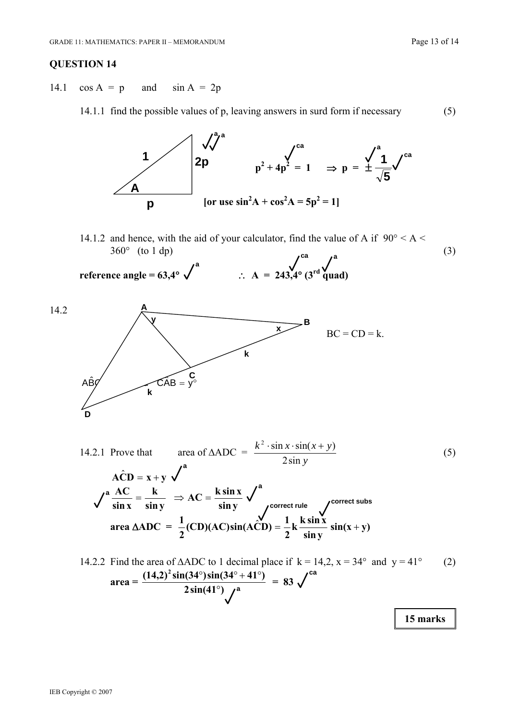14.1  $\cos A = p$  and  $\sin A = 2p$ 

14.1.1 find the possible values of p, leaving answers in surd form if necessary (5)



14.1.2 and hence, with the aid of your calculator, find the value of A if  $90^{\circ} < A <$  $360^{\circ}$  (to 1 dp) (3) **ca a**

reference angle = 63,4° 
$$
\sqrt{\phantom{0}}
$$
  
 $\therefore$  A = 243,4° (3<sup>rd</sup> quad)



14.2.1 Prove that area of  $\triangle ADC =$ *y*  $k^2$  · sin  $x \cdot \sin(x + y)$ 2sin  $\frac{2 \cdot \sin x \cdot \sin(x+y)}{5}$  (5)  $\angle ACD = x + y \sqrt{a}$ **sin y**  $AC = \frac{k \sin x}{i}$ **sin y k sin x**  $\frac{AC}{AC} = \frac{k}{AC} \Rightarrow AC =$ **area** Δ**ADC** =  $\frac{1}{2}$ (**CD**)(**AC**)**sin**(**ACD**) =  $\frac{1}{2}$ **k**  $\frac{k \sin x}{\sin y}$ **sin**(**x** + **y**)  $\frac{1}{2}$ (CD)(AC)sin(ACD) =  $\frac{1}{2}$ k  $\frac{k \sin x}{\sin y}$  sin(x + **correct rule a <sup>a</sup> correct subs** 

14.2.2 Find the area of 
$$
\triangle ADC
$$
 to 1 decimal place if  $k = 14, 2, x = 34^{\circ}$  and  $y = 41^{\circ}$  (2)  
\n
$$
\text{area} = \frac{(14,2)^2 \sin(34^{\circ}) \sin(34^{\circ} + 41^{\circ})}{2 \sin(41^{\circ}) \sqrt{a}} = 83 \sqrt{a}
$$